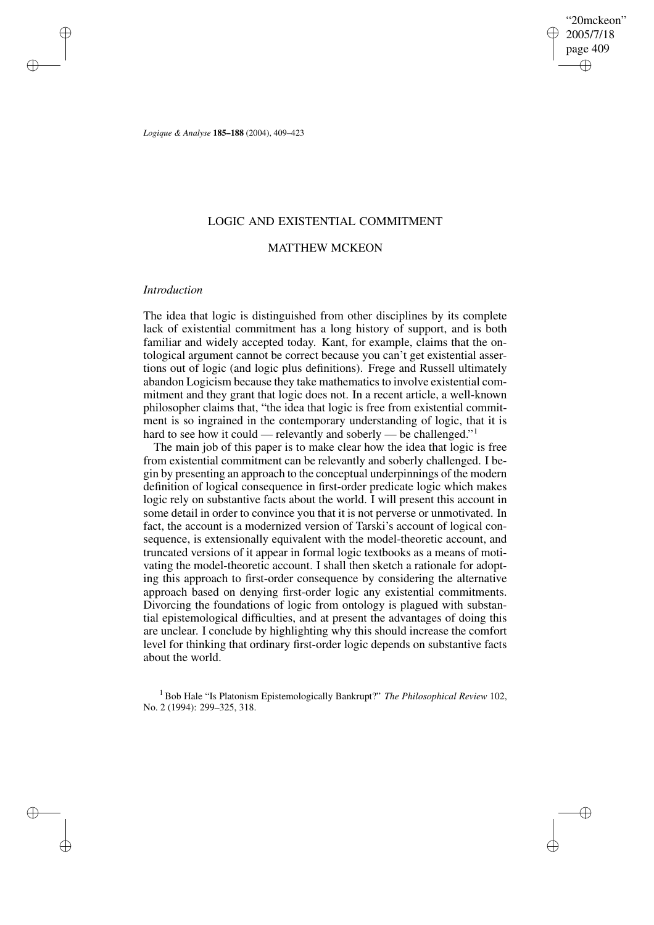"20mckeon" 2005/7/18 page 409 ✐ ✐

✐

✐

*Logique & Analyse* **185–188** (2004), 409–423

## LOGIC AND EXISTENTIAL COMMITMENT

### MATTHEW MCKEON

### *Introduction*

✐

✐

✐

✐

The idea that logic is distinguished from other disciplines by its complete lack of existential commitment has a long history of support, and is both familiar and widely accepted today. Kant, for example, claims that the ontological argument cannot be correct because you can't get existential assertions out of logic (and logic plus definitions). Frege and Russell ultimately abandon Logicism because they take mathematics to involve existential commitment and they grant that logic does not. In a recent article, a well-known philosopher claims that, "the idea that logic is free from existential commitment is so ingrained in the contemporary understanding of logic, that it is hard to see how it could — relevantly and soberly — be challenged."<sup>1</sup>

The main job of this paper is to make clear how the idea that logic is free from existential commitment can be relevantly and soberly challenged. I begin by presenting an approach to the conceptual underpinnings of the modern definition of logical consequence in first-order predicate logic which makes logic rely on substantive facts about the world. I will present this account in some detail in order to convince you that it is not perverse or unmotivated. In fact, the account is a modernized version of Tarski's account of logical consequence, is extensionally equivalent with the model-theoretic account, and truncated versions of it appear in formal logic textbooks as a means of motivating the model-theoretic account. I shall then sketch a rationale for adopting this approach to first-order consequence by considering the alternative approach based on denying first-order logic any existential commitments. Divorcing the foundations of logic from ontology is plagued with substantial epistemological difficulties, and at present the advantages of doing this are unclear. I conclude by highlighting why this should increase the comfort level for thinking that ordinary first-order logic depends on substantive facts about the world.

<sup>1</sup> Bob Hale "Is Platonism Epistemologically Bankrupt?" *The Philosophical Review* 102, No. 2 (1994): 299–325, 318.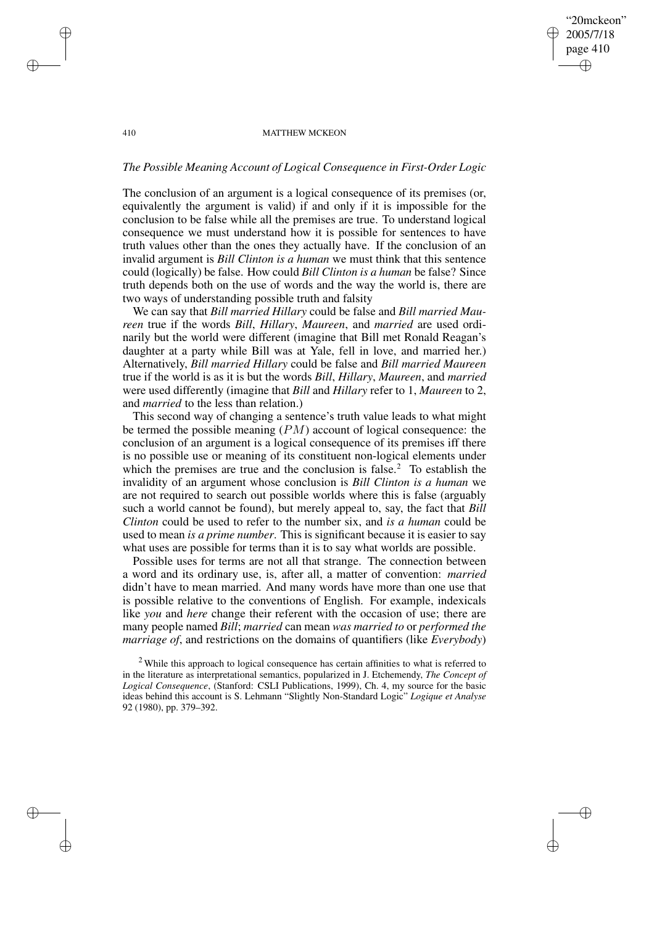### "20mckeon" 2005/7/18 page 410 ✐ ✐

✐

✐

#### 410 MATTHEW MCKEON

✐

✐

✐

✐

# *The Possible Meaning Account of Logical Consequence in First-Order Logic*

The conclusion of an argument is a logical consequence of its premises (or, equivalently the argument is valid) if and only if it is impossible for the conclusion to be false while all the premises are true. To understand logical consequence we must understand how it is possible for sentences to have truth values other than the ones they actually have. If the conclusion of an invalid argument is *Bill Clinton is a human* we must think that this sentence could (logically) be false. How could *Bill Clinton is a human* be false? Since truth depends both on the use of words and the way the world is, there are two ways of understanding possible truth and falsity

We can say that *Bill married Hillary* could be false and *Bill married Maureen* true if the words *Bill*, *Hillary*, *Maureen*, and *married* are used ordinarily but the world were different (imagine that Bill met Ronald Reagan's daughter at a party while Bill was at Yale, fell in love, and married her.) Alternatively, *Bill married Hillary* could be false and *Bill married Maureen* true if the world is as it is but the words *Bill*, *Hillary*, *Maureen*, and *married* were used differently (imagine that *Bill* and *Hillary* refer to 1, *Maureen* to 2, and *married* to the less than relation.)

This second way of changing a sentence's truth value leads to what might be termed the possible meaning  $(PM)$  account of logical consequence: the conclusion of an argument is a logical consequence of its premises iff there is no possible use or meaning of its constituent non-logical elements under which the premises are true and the conclusion is false.<sup>2</sup> To establish the invalidity of an argument whose conclusion is *Bill Clinton is a human* we are not required to search out possible worlds where this is false (arguably such a world cannot be found), but merely appeal to, say, the fact that *Bill Clinton* could be used to refer to the number six, and *is a human* could be used to mean *is a prime number*. This is significant because it is easier to say what uses are possible for terms than it is to say what worlds are possible.

Possible uses for terms are not all that strange. The connection between a word and its ordinary use, is, after all, a matter of convention: *married* didn't have to mean married. And many words have more than one use that is possible relative to the conventions of English. For example, indexicals like *you* and *here* change their referent with the occasion of use; there are many people named *Bill*; *married* can mean *was married to* or *performed the marriage of*, and restrictions on the domains of quantifiers (like *Everybody*)

 $2$  While this approach to logical consequence has certain affinities to what is referred to in the literature as interpretational semantics, popularized in J. Etchemendy, *The Concept of Logical Consequence*, (Stanford: CSLI Publications, 1999), Ch. 4, my source for the basic ideas behind this account is S. Lehmann "Slightly Non-Standard Logic" *Logique et Analyse* 92 (1980), pp. 379–392.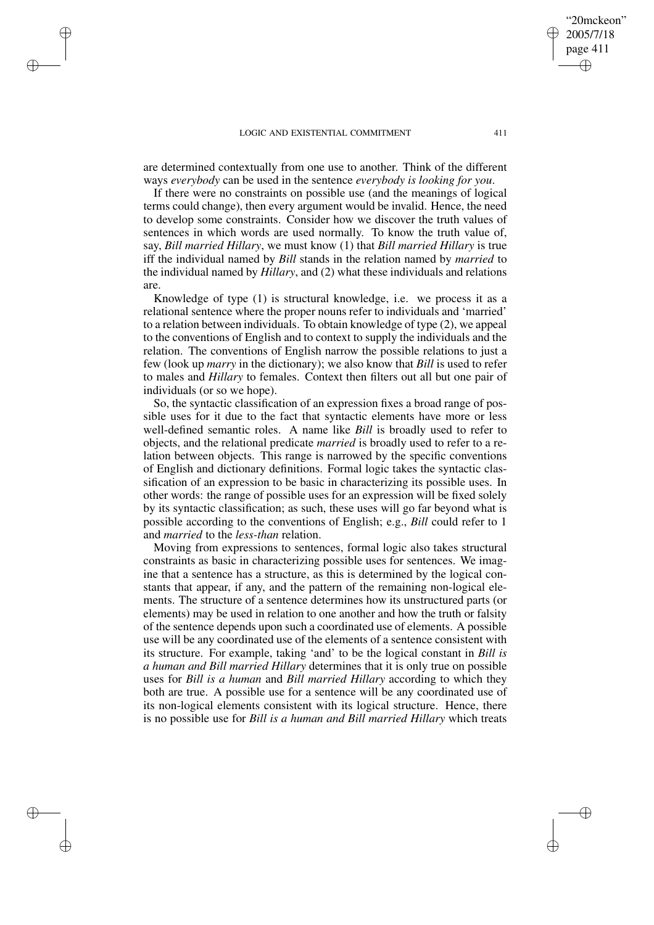✐

✐

✐

✐

are determined contextually from one use to another. Think of the different ways *everybody* can be used in the sentence *everybody is looking for you*.

If there were no constraints on possible use (and the meanings of logical terms could change), then every argument would be invalid. Hence, the need to develop some constraints. Consider how we discover the truth values of sentences in which words are used normally. To know the truth value of, say, *Bill married Hillary*, we must know (1) that *Bill married Hillary* is true iff the individual named by *Bill* stands in the relation named by *married* to the individual named by *Hillary*, and (2) what these individuals and relations are.

Knowledge of type (1) is structural knowledge, i.e. we process it as a relational sentence where the proper nouns refer to individuals and 'married' to a relation between individuals. To obtain knowledge of type (2), we appeal to the conventions of English and to context to supply the individuals and the relation. The conventions of English narrow the possible relations to just a few (look up *marry* in the dictionary); we also know that *Bill* is used to refer to males and *Hillary* to females. Context then filters out all but one pair of individuals (or so we hope).

So, the syntactic classification of an expression fixes a broad range of possible uses for it due to the fact that syntactic elements have more or less well-defined semantic roles. A name like *Bill* is broadly used to refer to objects, and the relational predicate *married* is broadly used to refer to a relation between objects. This range is narrowed by the specific conventions of English and dictionary definitions. Formal logic takes the syntactic classification of an expression to be basic in characterizing its possible uses. In other words: the range of possible uses for an expression will be fixed solely by its syntactic classification; as such, these uses will go far beyond what is possible according to the conventions of English; e.g., *Bill* could refer to 1 and *married* to the *less-than* relation.

Moving from expressions to sentences, formal logic also takes structural constraints as basic in characterizing possible uses for sentences. We imagine that a sentence has a structure, as this is determined by the logical constants that appear, if any, and the pattern of the remaining non-logical elements. The structure of a sentence determines how its unstructured parts (or elements) may be used in relation to one another and how the truth or falsity of the sentence depends upon such a coordinated use of elements. A possible use will be any coordinated use of the elements of a sentence consistent with its structure. For example, taking 'and' to be the logical constant in *Bill is a human and Bill married Hillary* determines that it is only true on possible uses for *Bill is a human* and *Bill married Hillary* according to which they both are true. A possible use for a sentence will be any coordinated use of its non-logical elements consistent with its logical structure. Hence, there is no possible use for *Bill is a human and Bill married Hillary* which treats

"20mckeon" 2005/7/18 page 411

✐

✐

✐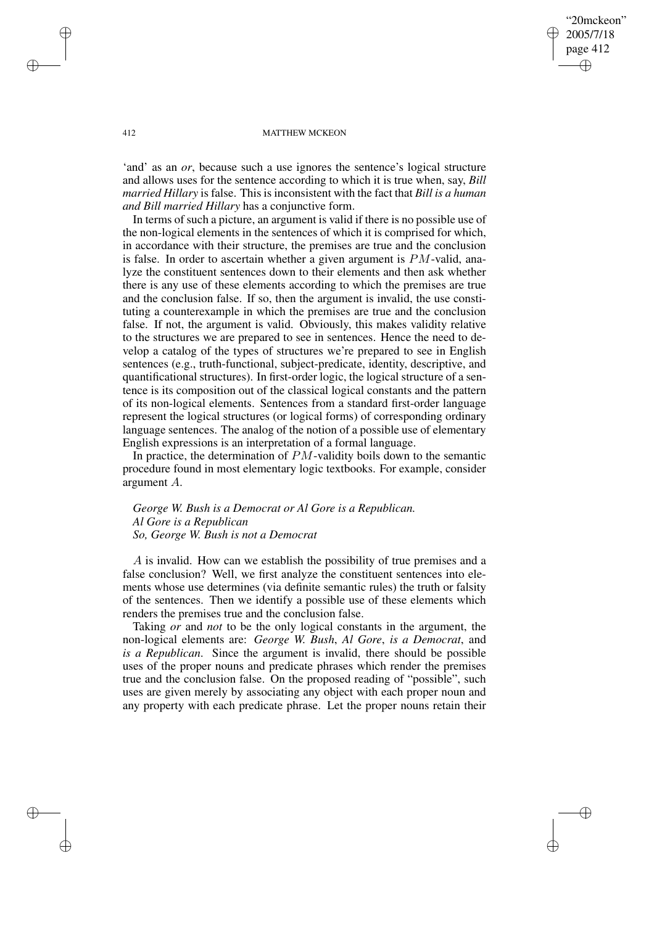"20mckeon" 2005/7/18 page 412 ✐ ✐

✐

✐

#### 412 MATTHEW MCKEON

'and' as an *or*, because such a use ignores the sentence's logical structure and allows uses for the sentence according to which it is true when, say, *Bill married Hillary* is false. This is inconsistent with the fact that *Bill is a human and Bill married Hillary* has a conjunctive form.

In terms of such a picture, an argument is valid if there is no possible use of the non-logical elements in the sentences of which it is comprised for which, in accordance with their structure, the premises are true and the conclusion is false. In order to ascertain whether a given argument is PM-valid, analyze the constituent sentences down to their elements and then ask whether there is any use of these elements according to which the premises are true and the conclusion false. If so, then the argument is invalid, the use constituting a counterexample in which the premises are true and the conclusion false. If not, the argument is valid. Obviously, this makes validity relative to the structures we are prepared to see in sentences. Hence the need to develop a catalog of the types of structures we're prepared to see in English sentences (e.g., truth-functional, subject-predicate, identity, descriptive, and quantificational structures). In first-order logic, the logical structure of a sentence is its composition out of the classical logical constants and the pattern of its non-logical elements. Sentences from a standard first-order language represent the logical structures (or logical forms) of corresponding ordinary language sentences. The analog of the notion of a possible use of elementary English expressions is an interpretation of a formal language.

In practice, the determination of PM-validity boils down to the semantic procedure found in most elementary logic textbooks. For example, consider argument A.

*George W. Bush is a Democrat or Al Gore is a Republican. Al Gore is a Republican So, George W. Bush is not a Democrat*

A is invalid. How can we establish the possibility of true premises and a false conclusion? Well, we first analyze the constituent sentences into elements whose use determines (via definite semantic rules) the truth or falsity of the sentences. Then we identify a possible use of these elements which renders the premises true and the conclusion false.

Taking *or* and *not* to be the only logical constants in the argument, the non-logical elements are: *George W. Bush*, *Al Gore*, *is a Democrat*, and *is a Republican*. Since the argument is invalid, there should be possible uses of the proper nouns and predicate phrases which render the premises true and the conclusion false. On the proposed reading of "possible", such uses are given merely by associating any object with each proper noun and any property with each predicate phrase. Let the proper nouns retain their

✐

✐

✐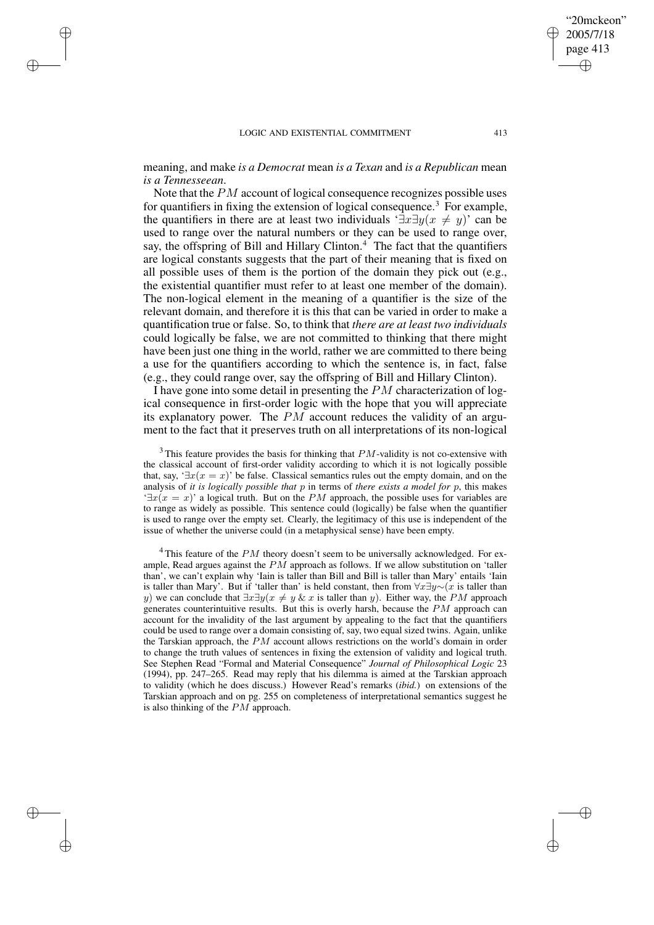✐

✐

✐

✐

meaning, and make *is a Democrat* mean *is a Texan* and *is a Republican* mean *is a Tennesseean*.

Note that the PM account of logical consequence recognizes possible uses for quantifiers in fixing the extension of logical consequence.<sup>3</sup> For example, the quantifiers in there are at least two individuals  $\exists x \exists y (x \neq y)'$  can be used to range over the natural numbers or they can be used to range over, say, the offspring of Bill and Hillary Clinton.<sup>4</sup> The fact that the quantifiers are logical constants suggests that the part of their meaning that is fixed on all possible uses of them is the portion of the domain they pick out (e.g., the existential quantifier must refer to at least one member of the domain). The non-logical element in the meaning of a quantifier is the size of the relevant domain, and therefore it is this that can be varied in order to make a quantification true or false. So, to think that *there are at least two individuals* could logically be false, we are not committed to thinking that there might have been just one thing in the world, rather we are committed to there being a use for the quantifiers according to which the sentence is, in fact, false (e.g., they could range over, say the offspring of Bill and Hillary Clinton).

I have gone into some detail in presenting the PM characterization of logical consequence in first-order logic with the hope that you will appreciate its explanatory power. The  $PM$  account reduces the validity of an argument to the fact that it preserves truth on all interpretations of its non-logical

 $3$ This feature provides the basis for thinking that  $PM$ -validity is not co-extensive with the classical account of first-order validity according to which it is not logically possible that, say, ' $\exists x(x = x)$ ' be false. Classical semantics rules out the empty domain, and on the analysis of *it is logically possible that* p in terms of *there exists a model for* p, this makes  $\exists x(x = x)$ ' a logical truth. But on the PM approach, the possible uses for variables are to range as widely as possible. This sentence could (logically) be false when the quantifier is used to range over the empty set. Clearly, the legitimacy of this use is independent of the issue of whether the universe could (in a metaphysical sense) have been empty.

 $4$ This feature of the  $PM$  theory doesn't seem to be universally acknowledged. For example, Read argues against the  $PM$  approach as follows. If we allow substitution on 'taller than', we can't explain why 'Iain is taller than Bill and Bill is taller than Mary' entails 'Iain is taller than Mary'. But if 'taller than' is held constant, then from  $\forall x \exists y \sim (x$  is taller than y) we can conclude that  $\exists x \exists y (x \neq y \& x$  is taller than y). Either way, the PM approach generates counterintuitive results. But this is overly harsh, because the  $PM$  approach can account for the invalidity of the last argument by appealing to the fact that the quantifiers could be used to range over a domain consisting of, say, two equal sized twins. Again, unlike the Tarskian approach, the  $PM$  account allows restrictions on the world's domain in order to change the truth values of sentences in fixing the extension of validity and logical truth. See Stephen Read "Formal and Material Consequence" *Journal of Philosophical Logic* 23 (1994), pp. 247–265. Read may reply that his dilemma is aimed at the Tarskian approach to validity (which he does discuss.) However Read's remarks (*ibid.*) on extensions of the Tarskian approach and on pg. 255 on completeness of interpretational semantics suggest he is also thinking of the  $PM$  approach.

"20mckeon" 2005/7/18 page 413

✐

✐

✐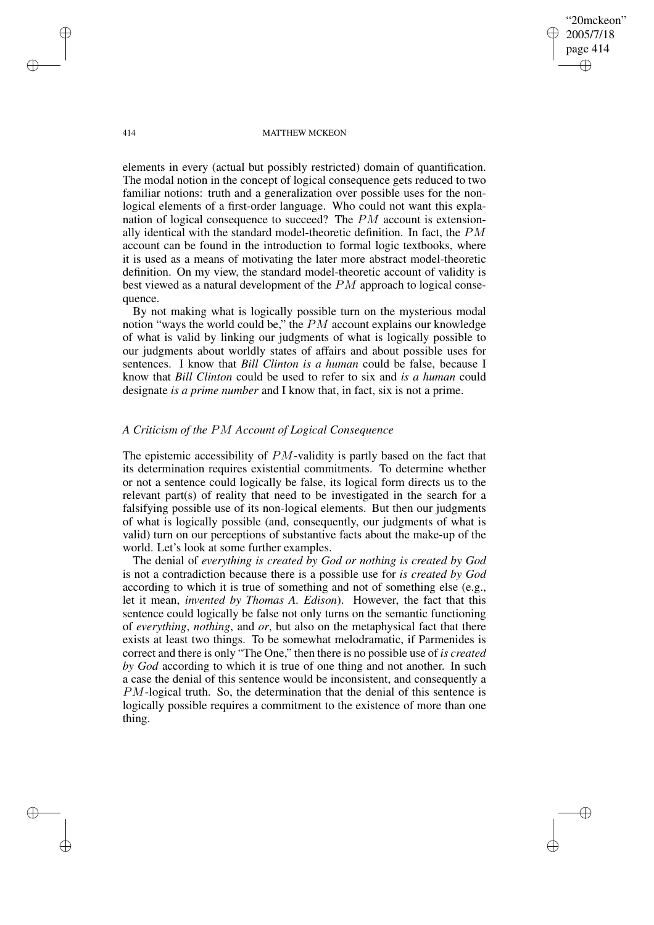414 MATTHEW MCKEON

"20mckeon" 2005/7/18 page 414

✐

✐

✐

✐

elements in every (actual but possibly restricted) domain of quantification. The modal notion in the concept of logical consequence gets reduced to two familiar notions: truth and a generalization over possible uses for the nonlogical elements of a first-order language. Who could not want this explanation of logical consequence to succeed? The PM account is extensionally identical with the standard model-theoretic definition. In fact, the PM account can be found in the introduction to formal logic textbooks, where it is used as a means of motivating the later more abstract model-theoretic definition. On my view, the standard model-theoretic account of validity is best viewed as a natural development of the PM approach to logical consequence.

By not making what is logically possible turn on the mysterious modal notion "ways the world could be," the  $PM$  account explains our knowledge of what is valid by linking our judgments of what is logically possible to our judgments about worldly states of affairs and about possible uses for sentences. I know that *Bill Clinton is a human* could be false, because I know that *Bill Clinton* could be used to refer to six and *is a human* could designate *is a prime number* and I know that, in fact, six is not a prime.

# *A Criticism of the* PM *Account of Logical Consequence*

The epistemic accessibility of  $PM$ -validity is partly based on the fact that its determination requires existential commitments. To determine whether or not a sentence could logically be false, its logical form directs us to the relevant part(s) of reality that need to be investigated in the search for a falsifying possible use of its non-logical elements. But then our judgments of what is logically possible (and, consequently, our judgments of what is valid) turn on our perceptions of substantive facts about the make-up of the world. Let's look at some further examples.

The denial of *everything is created by God or nothing is created by God* is not a contradiction because there is a possible use for *is created by God* according to which it is true of something and not of something else (e.g., let it mean, *invented by Thomas A. Edison*). However, the fact that this sentence could logically be false not only turns on the semantic functioning of *everything*, *nothing*, and *or*, but also on the metaphysical fact that there exists at least two things. To be somewhat melodramatic, if Parmenides is correct and there is only "The One," then there is no possible use of *is created by God* according to which it is true of one thing and not another. In such a case the denial of this sentence would be inconsistent, and consequently a PM-logical truth. So, the determination that the denial of this sentence is logically possible requires a commitment to the existence of more than one thing.

✐

✐

✐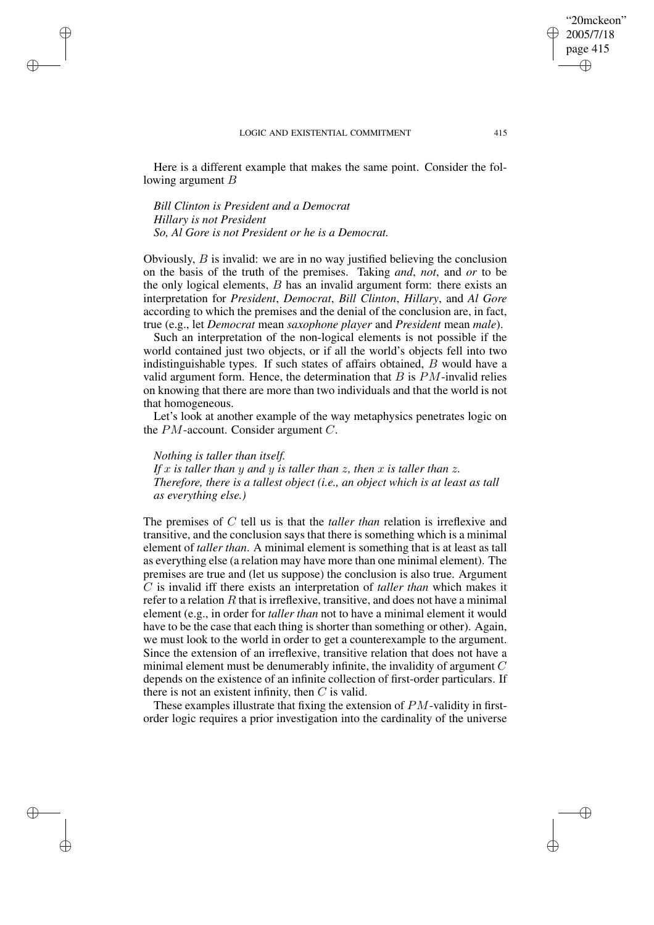Here is a different example that makes the same point. Consider the following argument  $B$ 

*Bill Clinton is President and a Democrat Hillary is not President So, Al Gore is not President or he is a Democrat.*

✐

✐

✐

✐

Obviously,  $B$  is invalid: we are in no way justified believing the conclusion on the basis of the truth of the premises. Taking *and*, *not*, and *or* to be the only logical elements,  $B$  has an invalid argument form: there exists an interpretation for *President*, *Democrat*, *Bill Clinton*, *Hillary*, and *Al Gore* according to which the premises and the denial of the conclusion are, in fact, true (e.g., let *Democrat* mean *saxophone player* and *President* mean *male*).

Such an interpretation of the non-logical elements is not possible if the world contained just two objects, or if all the world's objects fell into two indistinguishable types. If such states of affairs obtained, B would have a valid argument form. Hence, the determination that  $B$  is  $PM$ -invalid relies on knowing that there are more than two individuals and that the world is not that homogeneous.

Let's look at another example of the way metaphysics penetrates logic on the PM-account. Consider argument C.

*Nothing is taller than itself. If* x *is taller than* y *and* y *is taller than* z*, then* x *is taller than* z*. Therefore, there is a tallest object (i.e., an object which is at least as tall as everything else.)*

The premises of C tell us is that the *taller than* relation is irreflexive and transitive, and the conclusion says that there is something which is a minimal element of *taller than*. A minimal element is something that is at least as tall as everything else (a relation may have more than one minimal element). The premises are true and (let us suppose) the conclusion is also true. Argument C is invalid iff there exists an interpretation of *taller than* which makes it refer to a relation  $R$  that is irreflexive, transitive, and does not have a minimal element (e.g., in order for *taller than* not to have a minimal element it would have to be the case that each thing is shorter than something or other). Again, we must look to the world in order to get a counterexample to the argument. Since the extension of an irreflexive, transitive relation that does not have a minimal element must be denumerably infinite, the invalidity of argument  $C$ depends on the existence of an infinite collection of first-order particulars. If there is not an existent infinity, then  $C$  is valid.

These examples illustrate that fixing the extension of PM-validity in firstorder logic requires a prior investigation into the cardinality of the universe

"20mckeon" 2005/7/18 page 415

✐

✐

✐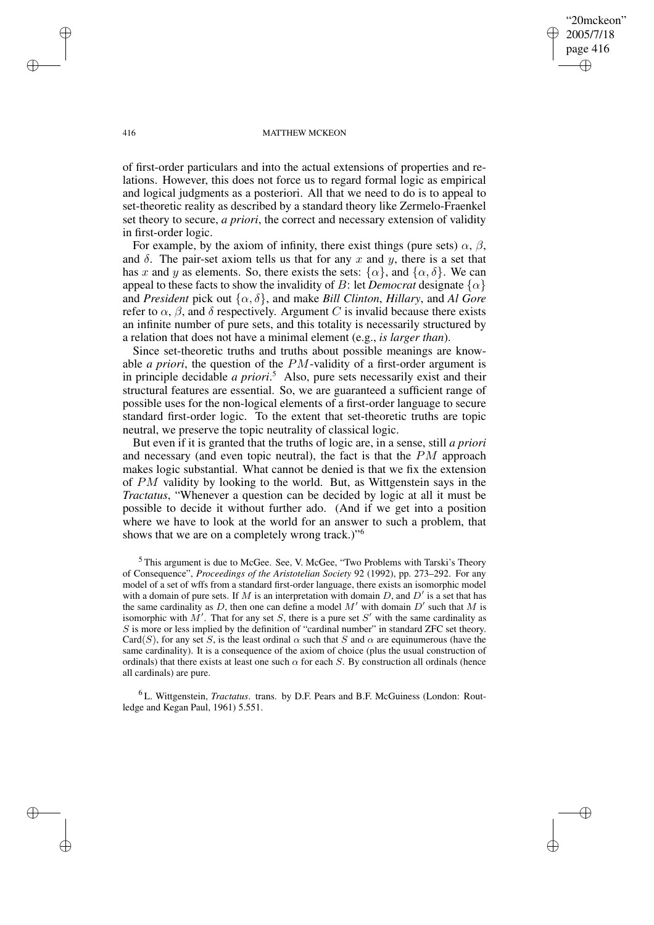"20mckeon" 2005/7/18 page 416 ✐ ✐

✐

✐

#### 416 MATTHEW MCKEON

of first-order particulars and into the actual extensions of properties and relations. However, this does not force us to regard formal logic as empirical and logical judgments as a posteriori. All that we need to do is to appeal to set-theoretic reality as described by a standard theory like Zermelo-Fraenkel set theory to secure, *a priori*, the correct and necessary extension of validity in first-order logic.

For example, by the axiom of infinity, there exist things (pure sets)  $\alpha$ ,  $\beta$ , and  $\delta$ . The pair-set axiom tells us that for any x and y, there is a set that has x and y as elements. So, there exists the sets:  $\{\alpha\}$ , and  $\{\alpha, \delta\}$ . We can appeal to these facts to show the invalidity of B: let *Democrat* designate  $\{\alpha\}$ and *President* pick out  $\{\alpha, \delta\}$ , and make *Bill Clinton*, *Hillary*, and *Al Gore* refer to  $\alpha$ ,  $\beta$ , and  $\delta$  respectively. Argument C is invalid because there exists an infinite number of pure sets, and this totality is necessarily structured by a relation that does not have a minimal element (e.g., *is larger than*).

Since set-theoretic truths and truths about possible meanings are knowable *a priori*, the question of the PM-validity of a first-order argument is in principle decidable *a priori*. <sup>5</sup> Also, pure sets necessarily exist and their structural features are essential. So, we are guaranteed a sufficient range of possible uses for the non-logical elements of a first-order language to secure standard first-order logic. To the extent that set-theoretic truths are topic neutral, we preserve the topic neutrality of classical logic.

But even if it is granted that the truths of logic are, in a sense, still *a priori* and necessary (and even topic neutral), the fact is that the PM approach makes logic substantial. What cannot be denied is that we fix the extension of PM validity by looking to the world. But, as Wittgenstein says in the *Tractatus*, "Whenever a question can be decided by logic at all it must be possible to decide it without further ado. (And if we get into a position where we have to look at the world for an answer to such a problem, that shows that we are on a completely wrong track.)"<sup>6</sup>

 $<sup>5</sup>$  This argument is due to McGee. See, V. McGee, "Two Problems with Tarski's Theory</sup> of Consequence", *Proceedings of the Aristotelian Society* 92 (1992), pp. 273–292. For any model of a set of wffs from a standard first-order language, there exists an isomorphic model with a domain of pure sets. If M is an interpretation with domain D, and  $D'$  is a set that has the same cardinality as D, then one can define a model  $M'$  with domain  $D'$  such that M is isomorphic with  $M'$ . That for any set S, there is a pure set S' with the same cardinality as  $S$  is more or less implied by the definition of "cardinal number" in standard ZFC set theory. Card(S), for any set S, is the least ordinal  $\alpha$  such that S and  $\alpha$  are equinumerous (have the same cardinality). It is a consequence of the axiom of choice (plus the usual construction of ordinals) that there exists at least one such  $\alpha$  for each S. By construction all ordinals (hence all cardinals) are pure.

<sup>6</sup> L. Wittgenstein, *Tractatus*. trans. by D.F. Pears and B.F. McGuiness (London: Routledge and Kegan Paul, 1961) 5.551.

✐

✐

✐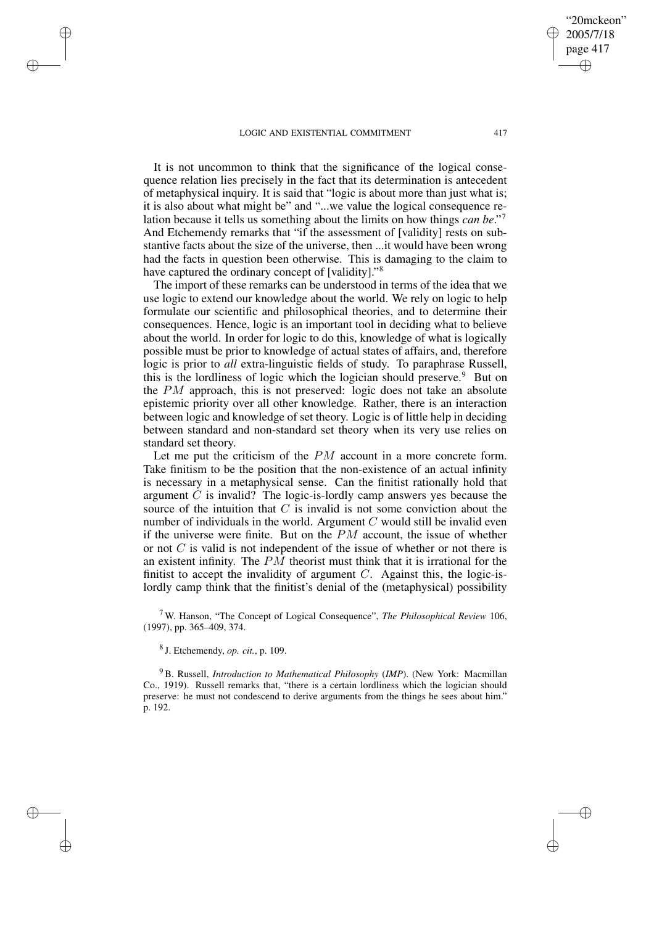✐

✐

✐

✐

It is not uncommon to think that the significance of the logical consequence relation lies precisely in the fact that its determination is antecedent of metaphysical inquiry. It is said that "logic is about more than just what is; it is also about what might be" and "...we value the logical consequence relation because it tells us something about the limits on how things *can be*." 7 And Etchemendy remarks that "if the assessment of [validity] rests on substantive facts about the size of the universe, then ...it would have been wrong had the facts in question been otherwise. This is damaging to the claim to have captured the ordinary concept of [validity]."<sup>8</sup>

The import of these remarks can be understood in terms of the idea that we use logic to extend our knowledge about the world. We rely on logic to help formulate our scientific and philosophical theories, and to determine their consequences. Hence, logic is an important tool in deciding what to believe about the world. In order for logic to do this, knowledge of what is logically possible must be prior to knowledge of actual states of affairs, and, therefore logic is prior to *all* extra-linguistic fields of study. To paraphrase Russell, this is the lordliness of logic which the logician should preserve.<sup>9</sup> But on the PM approach, this is not preserved: logic does not take an absolute epistemic priority over all other knowledge. Rather, there is an interaction between logic and knowledge of set theory. Logic is of little help in deciding between standard and non-standard set theory when its very use relies on standard set theory.

Let me put the criticism of the  $PM$  account in a more concrete form. Take finitism to be the position that the non-existence of an actual infinity is necessary in a metaphysical sense. Can the finitist rationally hold that argument  $C$  is invalid? The logic-is-lordly camp answers yes because the source of the intuition that  $C$  is invalid is not some conviction about the number of individuals in the world. Argument  $C$  would still be invalid even if the universe were finite. But on the  $PM$  account, the issue of whether or not  $C$  is valid is not independent of the issue of whether or not there is an existent infinity. The PM theorist must think that it is irrational for the finitist to accept the invalidity of argument  $C$ . Against this, the logic-islordly camp think that the finitist's denial of the (metaphysical) possibility

<sup>7</sup> W. Hanson, "The Concept of Logical Consequence", *The Philosophical Review* 106, (1997), pp. 365–409, 374.

8 J. Etchemendy, *op. cit.*, p. 109.

<sup>9</sup> B. Russell, *Introduction to Mathematical Philosophy* (*IMP*). (New York: Macmillan Co., 1919). Russell remarks that, "there is a certain lordliness which the logician should preserve: he must not condescend to derive arguments from the things he sees about him." p. 192.

"20mckeon" 2005/7/18 page 417

✐

✐

✐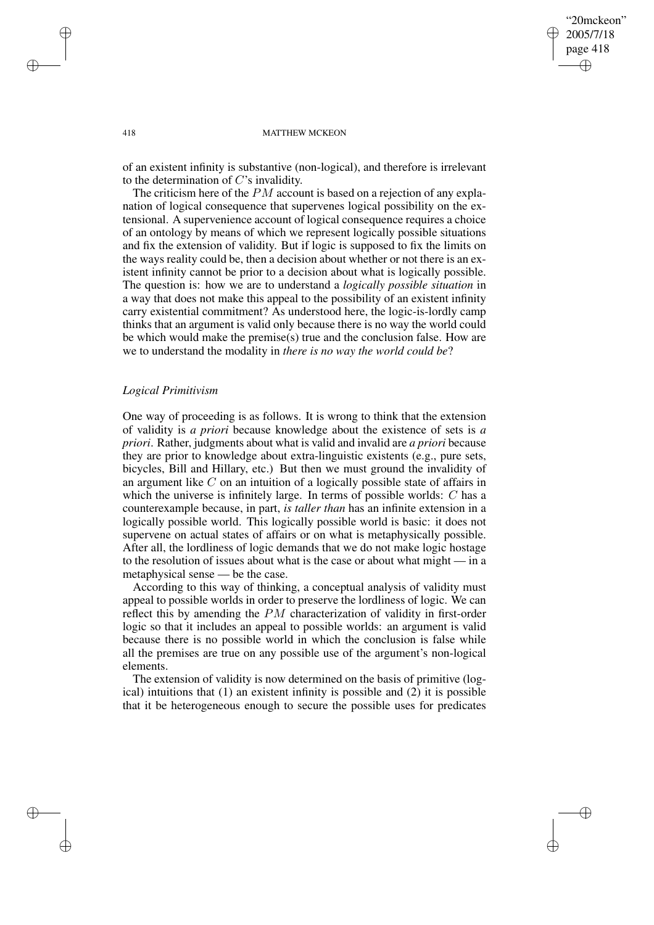✐

✐

#### 418 MATTHEW MCKEON

of an existent infinity is substantive (non-logical), and therefore is irrelevant to the determination of C's invalidity.

The criticism here of the PM account is based on a rejection of any explanation of logical consequence that supervenes logical possibility on the extensional. A supervenience account of logical consequence requires a choice of an ontology by means of which we represent logically possible situations and fix the extension of validity. But if logic is supposed to fix the limits on the ways reality could be, then a decision about whether or not there is an existent infinity cannot be prior to a decision about what is logically possible. The question is: how we are to understand a *logically possible situation* in a way that does not make this appeal to the possibility of an existent infinity carry existential commitment? As understood here, the logic-is-lordly camp thinks that an argument is valid only because there is no way the world could be which would make the premise(s) true and the conclusion false. How are we to understand the modality in *there is no way the world could be*?

### *Logical Primitivism*

One way of proceeding is as follows. It is wrong to think that the extension of validity is *a priori* because knowledge about the existence of sets is *a priori*. Rather, judgments about what is valid and invalid are *a priori* because they are prior to knowledge about extra-linguistic existents (e.g., pure sets, bicycles, Bill and Hillary, etc.) But then we must ground the invalidity of an argument like C on an intuition of a logically possible state of affairs in which the universe is infinitely large. In terms of possible worlds: C has a counterexample because, in part, *is taller than* has an infinite extension in a logically possible world. This logically possible world is basic: it does not supervene on actual states of affairs or on what is metaphysically possible. After all, the lordliness of logic demands that we do not make logic hostage to the resolution of issues about what is the case or about what might — in a metaphysical sense — be the case.

According to this way of thinking, a conceptual analysis of validity must appeal to possible worlds in order to preserve the lordliness of logic. We can reflect this by amending the PM characterization of validity in first-order logic so that it includes an appeal to possible worlds: an argument is valid because there is no possible world in which the conclusion is false while all the premises are true on any possible use of the argument's non-logical elements.

The extension of validity is now determined on the basis of primitive (logical) intuitions that  $(1)$  an existent infinity is possible and  $(2)$  it is possible that it be heterogeneous enough to secure the possible uses for predicates

✐

✐

✐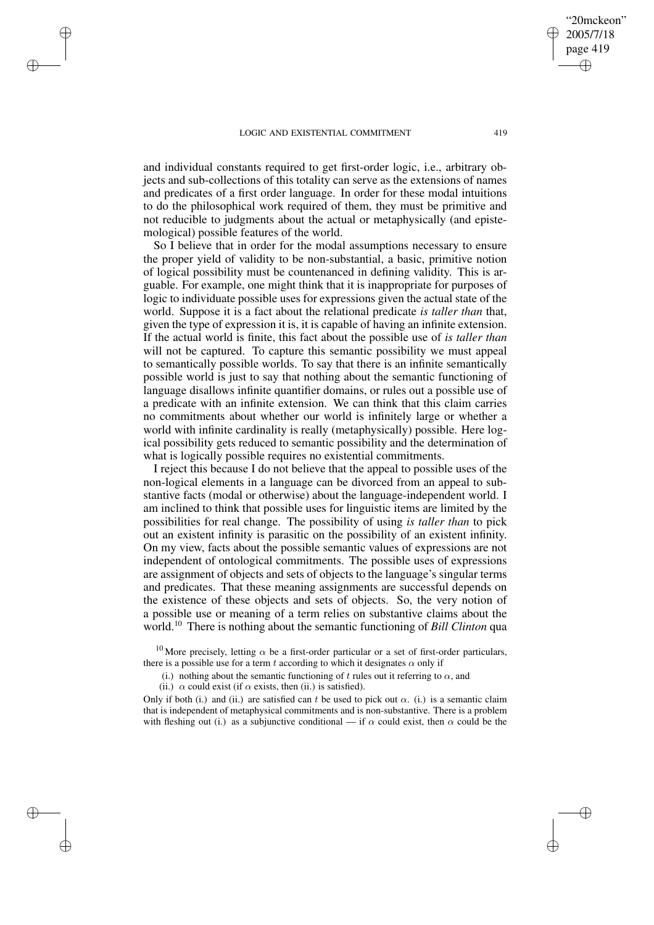✐

✐

✐

✐

and individual constants required to get first-order logic, i.e., arbitrary objects and sub-collections of this totality can serve as the extensions of names and predicates of a first order language. In order for these modal intuitions to do the philosophical work required of them, they must be primitive and not reducible to judgments about the actual or metaphysically (and epistemological) possible features of the world.

So I believe that in order for the modal assumptions necessary to ensure the proper yield of validity to be non-substantial, a basic, primitive notion of logical possibility must be countenanced in defining validity. This is arguable. For example, one might think that it is inappropriate for purposes of logic to individuate possible uses for expressions given the actual state of the world. Suppose it is a fact about the relational predicate *is taller than* that, given the type of expression it is, it is capable of having an infinite extension. If the actual world is finite, this fact about the possible use of *is taller than* will not be captured. To capture this semantic possibility we must appeal to semantically possible worlds. To say that there is an infinite semantically possible world is just to say that nothing about the semantic functioning of language disallows infinite quantifier domains, or rules out a possible use of a predicate with an infinite extension. We can think that this claim carries no commitments about whether our world is infinitely large or whether a world with infinite cardinality is really (metaphysically) possible. Here logical possibility gets reduced to semantic possibility and the determination of what is logically possible requires no existential commitments.

I reject this because I do not believe that the appeal to possible uses of the non-logical elements in a language can be divorced from an appeal to substantive facts (modal or otherwise) about the language-independent world. I am inclined to think that possible uses for linguistic items are limited by the possibilities for real change. The possibility of using *is taller than* to pick out an existent infinity is parasitic on the possibility of an existent infinity. On my view, facts about the possible semantic values of expressions are not independent of ontological commitments. The possible uses of expressions are assignment of objects and sets of objects to the language's singular terms and predicates. That these meaning assignments are successful depends on the existence of these objects and sets of objects. So, the very notion of a possible use or meaning of a term relies on substantive claims about the world.<sup>10</sup> There is nothing about the semantic functioning of *Bill Clinton* qua

<sup>10</sup> More precisely, letting  $\alpha$  be a first-order particular or a set of first-order particulars, there is a possible use for a term t according to which it designates  $\alpha$  only if

(i.) nothing about the semantic functioning of t rules out it referring to  $\alpha$ , and

(ii.)  $\alpha$  could exist (if  $\alpha$  exists, then (ii.) is satisfied).

Only if both (i.) and (ii.) are satisfied can t be used to pick out  $\alpha$ . (i.) is a semantic claim that is independent of metaphysical commitments and is non-substantive. There is a problem with fleshing out (i.) as a subjunctive conditional — if  $\alpha$  could exist, then  $\alpha$  could be the

"20mckeon" 2005/7/18 page 419

✐

✐

✐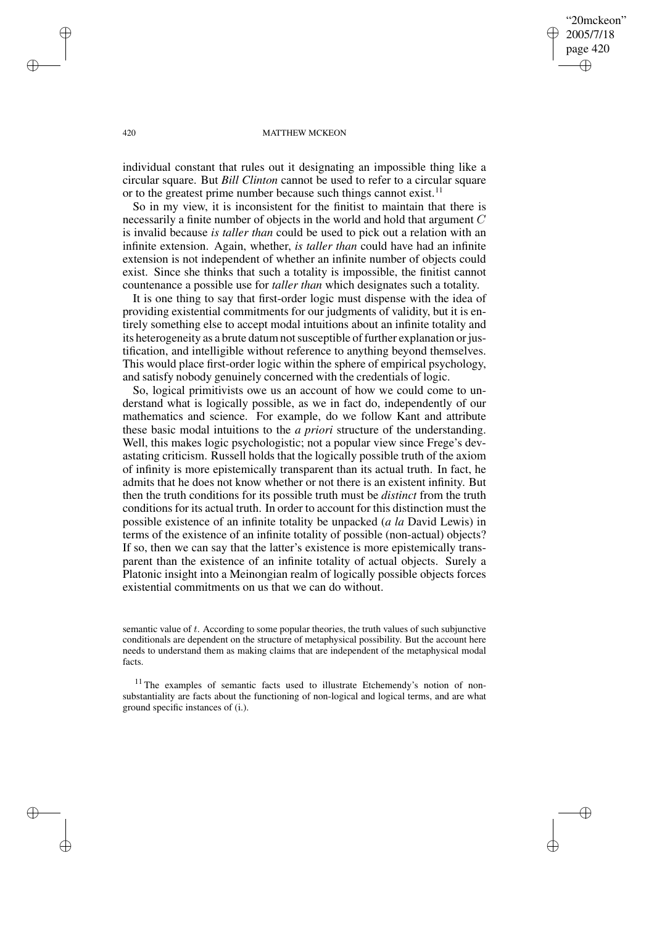"20mckeon" 2005/7/18 page 420 ✐ ✐

✐

✐

#### 420 MATTHEW MCKEON

individual constant that rules out it designating an impossible thing like a circular square. But *Bill Clinton* cannot be used to refer to a circular square or to the greatest prime number because such things cannot exist.<sup>11</sup>

So in my view, it is inconsistent for the finitist to maintain that there is necessarily a finite number of objects in the world and hold that argument C is invalid because *is taller than* could be used to pick out a relation with an infinite extension. Again, whether, *is taller than* could have had an infinite extension is not independent of whether an infinite number of objects could exist. Since she thinks that such a totality is impossible, the finitist cannot countenance a possible use for *taller than* which designates such a totality.

It is one thing to say that first-order logic must dispense with the idea of providing existential commitments for our judgments of validity, but it is entirely something else to accept modal intuitions about an infinite totality and its heterogeneity as a brute datum not susceptible of further explanation or justification, and intelligible without reference to anything beyond themselves. This would place first-order logic within the sphere of empirical psychology, and satisfy nobody genuinely concerned with the credentials of logic.

So, logical primitivists owe us an account of how we could come to understand what is logically possible, as we in fact do, independently of our mathematics and science. For example, do we follow Kant and attribute these basic modal intuitions to the *a priori* structure of the understanding. Well, this makes logic psychologistic; not a popular view since Frege's devastating criticism. Russell holds that the logically possible truth of the axiom of infinity is more epistemically transparent than its actual truth. In fact, he admits that he does not know whether or not there is an existent infinity. But then the truth conditions for its possible truth must be *distinct* from the truth conditions for its actual truth. In order to account for this distinction must the possible existence of an infinite totality be unpacked (*a la* David Lewis) in terms of the existence of an infinite totality of possible (non-actual) objects? If so, then we can say that the latter's existence is more epistemically transparent than the existence of an infinite totality of actual objects. Surely a Platonic insight into a Meinongian realm of logically possible objects forces existential commitments on us that we can do without.

semantic value of t. According to some popular theories, the truth values of such subjunctive conditionals are dependent on the structure of metaphysical possibility. But the account here needs to understand them as making claims that are independent of the metaphysical modal facts.

<sup>11</sup> The examples of semantic facts used to illustrate Etchemendy's notion of nonsubstantiality are facts about the functioning of non-logical and logical terms, and are what ground specific instances of (i.).

✐

✐

✐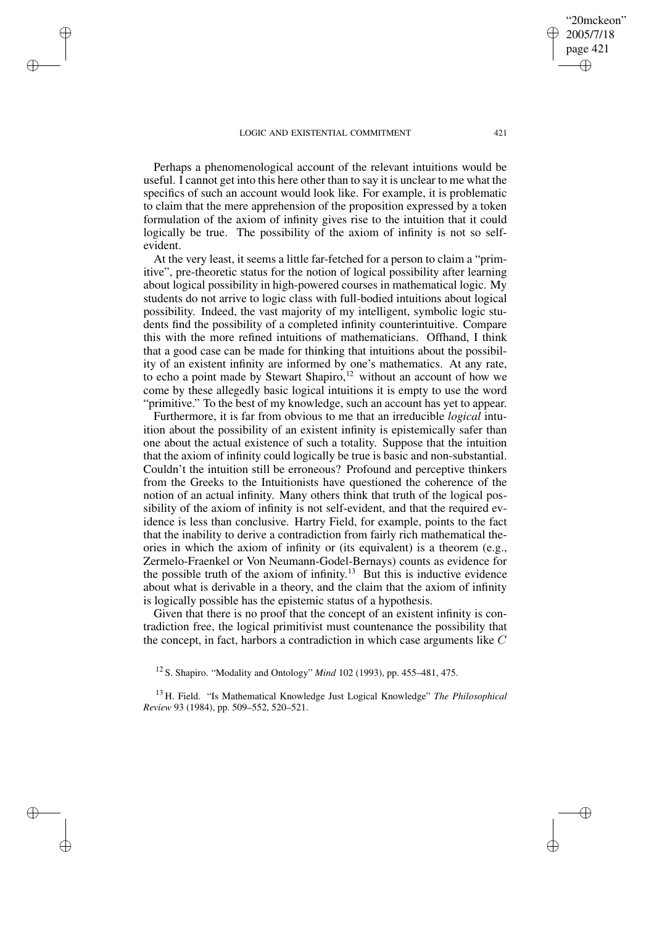✐

✐

✐

✐

Perhaps a phenomenological account of the relevant intuitions would be useful. I cannot get into this here other than to say it is unclear to me what the specifics of such an account would look like. For example, it is problematic to claim that the mere apprehension of the proposition expressed by a token formulation of the axiom of infinity gives rise to the intuition that it could logically be true. The possibility of the axiom of infinity is not so selfevident.

At the very least, it seems a little far-fetched for a person to claim a "primitive", pre-theoretic status for the notion of logical possibility after learning about logical possibility in high-powered courses in mathematical logic. My students do not arrive to logic class with full-bodied intuitions about logical possibility. Indeed, the vast majority of my intelligent, symbolic logic students find the possibility of a completed infinity counterintuitive. Compare this with the more refined intuitions of mathematicians. Offhand, I think that a good case can be made for thinking that intuitions about the possibility of an existent infinity are informed by one's mathematics. At any rate, to echo a point made by Stewart Shapiro,<sup>12</sup> without an account of how we come by these allegedly basic logical intuitions it is empty to use the word "primitive." To the best of my knowledge, such an account has yet to appear.

Furthermore, it is far from obvious to me that an irreducible *logical* intuition about the possibility of an existent infinity is epistemically safer than one about the actual existence of such a totality. Suppose that the intuition that the axiom of infinity could logically be true is basic and non-substantial. Couldn't the intuition still be erroneous? Profound and perceptive thinkers from the Greeks to the Intuitionists have questioned the coherence of the notion of an actual infinity. Many others think that truth of the logical possibility of the axiom of infinity is not self-evident, and that the required evidence is less than conclusive. Hartry Field, for example, points to the fact that the inability to derive a contradiction from fairly rich mathematical theories in which the axiom of infinity or (its equivalent) is a theorem (e.g., Zermelo-Fraenkel or Von Neumann-Godel-Bernays) counts as evidence for the possible truth of the axiom of infinity.<sup>13</sup> But this is inductive evidence about what is derivable in a theory, and the claim that the axiom of infinity is logically possible has the epistemic status of a hypothesis.

Given that there is no proof that the concept of an existent infinity is contradiction free, the logical primitivist must countenance the possibility that the concept, in fact, harbors a contradiction in which case arguments like  $C$ 

<sup>12</sup> S. Shapiro. "Modality and Ontology" *Mind* 102 (1993), pp. 455–481, 475.

<sup>13</sup> H. Field. "Is Mathematical Knowledge Just Logical Knowledge" *The Philosophical Review* 93 (1984), pp. 509–552, 520–521.

"20mckeon" 2005/7/18 page 421

✐

✐

✐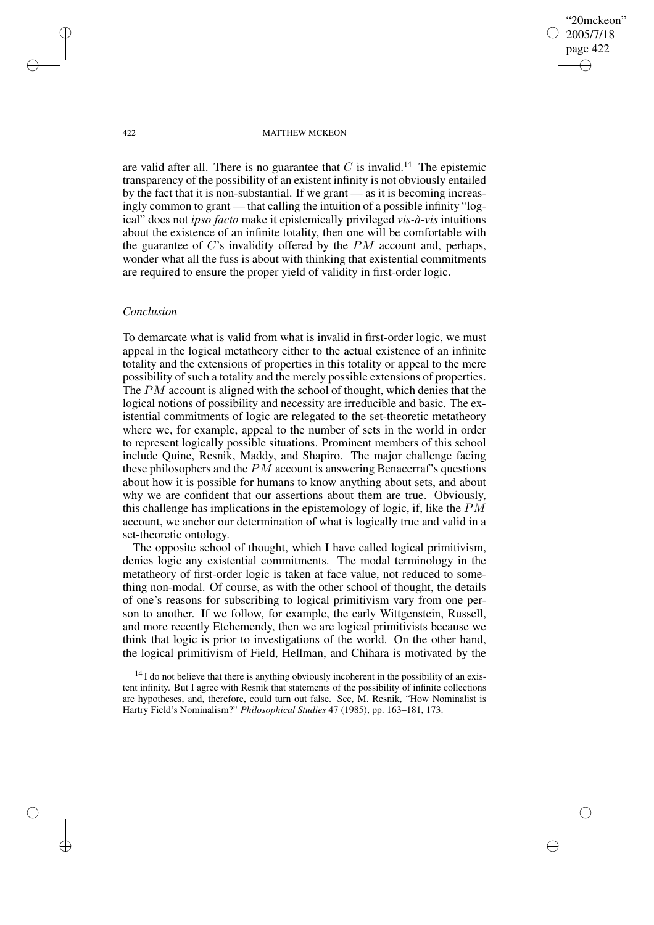"20mckeon" 2005/7/18 page 422 ✐ ✐

✐

✐

#### 422 MATTHEW MCKEON

are valid after all. There is no guarantee that  $C$  is invalid.<sup>14</sup> The epistemic transparency of the possibility of an existent infinity is not obviously entailed by the fact that it is non-substantial. If we grant — as it is becoming increasingly common to grant — that calling the intuition of a possible infinity "logical" does not *ipso facto* make it epistemically privileged *vis-à-vis* intuitions about the existence of an infinite totality, then one will be comfortable with the guarantee of  $C$ 's invalidity offered by the  $PM$  account and, perhaps, wonder what all the fuss is about with thinking that existential commitments are required to ensure the proper yield of validity in first-order logic.

# *Conclusion*

To demarcate what is valid from what is invalid in first-order logic, we must appeal in the logical metatheory either to the actual existence of an infinite totality and the extensions of properties in this totality or appeal to the mere possibility of such a totality and the merely possible extensions of properties. The PM account is aligned with the school of thought, which denies that the logical notions of possibility and necessity are irreducible and basic. The existential commitments of logic are relegated to the set-theoretic metatheory where we, for example, appeal to the number of sets in the world in order to represent logically possible situations. Prominent members of this school include Quine, Resnik, Maddy, and Shapiro. The major challenge facing these philosophers and the PM account is answering Benacerraf's questions about how it is possible for humans to know anything about sets, and about why we are confident that our assertions about them are true. Obviously, this challenge has implications in the epistemology of logic, if, like the  $PM$ account, we anchor our determination of what is logically true and valid in a set-theoretic ontology.

The opposite school of thought, which I have called logical primitivism, denies logic any existential commitments. The modal terminology in the metatheory of first-order logic is taken at face value, not reduced to something non-modal. Of course, as with the other school of thought, the details of one's reasons for subscribing to logical primitivism vary from one person to another. If we follow, for example, the early Wittgenstein, Russell, and more recently Etchemendy, then we are logical primitivists because we think that logic is prior to investigations of the world. On the other hand, the logical primitivism of Field, Hellman, and Chihara is motivated by the

✐

✐

✐

 $14$  I do not believe that there is anything obviously incoherent in the possibility of an existent infinity. But I agree with Resnik that statements of the possibility of infinite collections are hypotheses, and, therefore, could turn out false. See, M. Resnik, "How Nominalist is Hartry Field's Nominalism?" *Philosophical Studies* 47 (1985), pp. 163–181, 173.